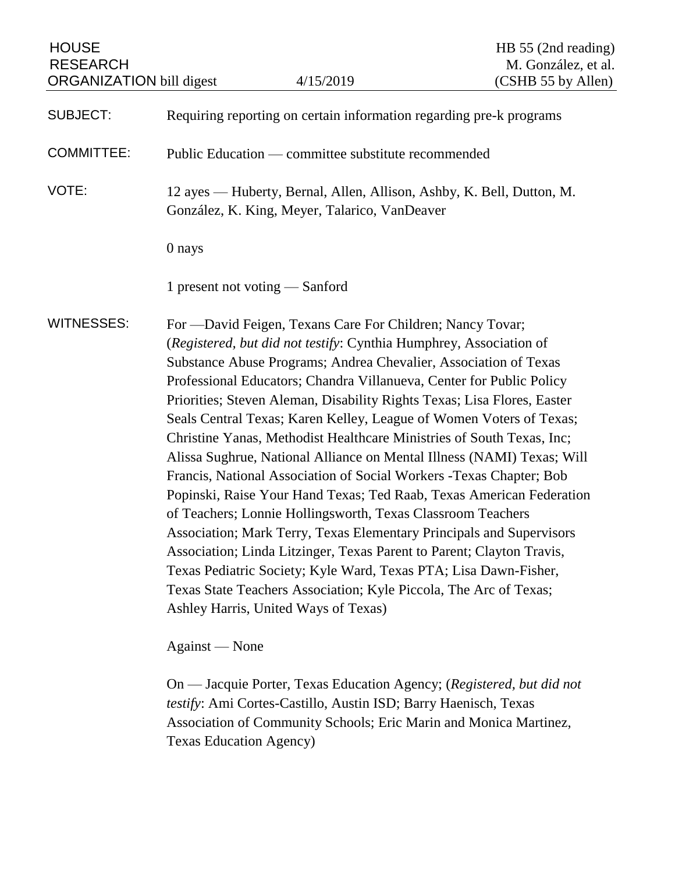| <b>HOUSE</b><br><b>RESEARCH</b><br><b>ORGANIZATION bill digest</b> |                                                                                                                                                                                                                                                                                                                                                                                                                                                                                                                                                                                                                                                                                                                                                                                                                                                                                                                                                                                                                                                                                                                                                     | 4/15/2019                                                             | HB 55 (2nd reading)<br>M. González, et al.<br>(CSHB 55 by Allen) |
|--------------------------------------------------------------------|-----------------------------------------------------------------------------------------------------------------------------------------------------------------------------------------------------------------------------------------------------------------------------------------------------------------------------------------------------------------------------------------------------------------------------------------------------------------------------------------------------------------------------------------------------------------------------------------------------------------------------------------------------------------------------------------------------------------------------------------------------------------------------------------------------------------------------------------------------------------------------------------------------------------------------------------------------------------------------------------------------------------------------------------------------------------------------------------------------------------------------------------------------|-----------------------------------------------------------------------|------------------------------------------------------------------|
| <b>SUBJECT:</b>                                                    | Requiring reporting on certain information regarding pre-k programs                                                                                                                                                                                                                                                                                                                                                                                                                                                                                                                                                                                                                                                                                                                                                                                                                                                                                                                                                                                                                                                                                 |                                                                       |                                                                  |
| <b>COMMITTEE:</b>                                                  |                                                                                                                                                                                                                                                                                                                                                                                                                                                                                                                                                                                                                                                                                                                                                                                                                                                                                                                                                                                                                                                                                                                                                     | Public Education — committee substitute recommended                   |                                                                  |
| VOTE:                                                              | 12 ayes — Huberty, Bernal, Allen, Allison, Ashby, K. Bell, Dutton, M.<br>González, K. King, Meyer, Talarico, VanDeaver                                                                                                                                                                                                                                                                                                                                                                                                                                                                                                                                                                                                                                                                                                                                                                                                                                                                                                                                                                                                                              |                                                                       |                                                                  |
|                                                                    | 0 nays                                                                                                                                                                                                                                                                                                                                                                                                                                                                                                                                                                                                                                                                                                                                                                                                                                                                                                                                                                                                                                                                                                                                              |                                                                       |                                                                  |
|                                                                    | 1 present not voting $-$ Sanford                                                                                                                                                                                                                                                                                                                                                                                                                                                                                                                                                                                                                                                                                                                                                                                                                                                                                                                                                                                                                                                                                                                    |                                                                       |                                                                  |
| <b>WITNESSES:</b>                                                  | For -David Feigen, Texans Care For Children; Nancy Tovar;<br>(Registered, but did not testify: Cynthia Humphrey, Association of<br>Substance Abuse Programs; Andrea Chevalier, Association of Texas<br>Professional Educators; Chandra Villanueva, Center for Public Policy<br>Priorities; Steven Aleman, Disability Rights Texas; Lisa Flores, Easter<br>Seals Central Texas; Karen Kelley, League of Women Voters of Texas;<br>Christine Yanas, Methodist Healthcare Ministries of South Texas, Inc;<br>Alissa Sughrue, National Alliance on Mental Illness (NAMI) Texas; Will<br>Francis, National Association of Social Workers - Texas Chapter; Bob<br>Popinski, Raise Your Hand Texas; Ted Raab, Texas American Federation<br>of Teachers; Lonnie Hollingsworth, Texas Classroom Teachers<br>Association; Mark Terry, Texas Elementary Principals and Supervisors<br>Association; Linda Litzinger, Texas Parent to Parent; Clayton Travis,<br>Texas Pediatric Society; Kyle Ward, Texas PTA; Lisa Dawn-Fisher,<br>Texas State Teachers Association; Kyle Piccola, The Arc of Texas;<br>Ashley Harris, United Ways of Texas)<br>Against — None |                                                                       |                                                                  |
|                                                                    |                                                                                                                                                                                                                                                                                                                                                                                                                                                                                                                                                                                                                                                                                                                                                                                                                                                                                                                                                                                                                                                                                                                                                     | On — Jacquie Porter, Texas Education Agency: (Registered, but did not |                                                                  |

quie Porter, Texas Education Agency; (*Registered, testify*: Ami Cortes-Castillo, Austin ISD; Barry Haenisch, Texas Association of Community Schools; Eric Marin and Monica Martinez, Texas Education Agency)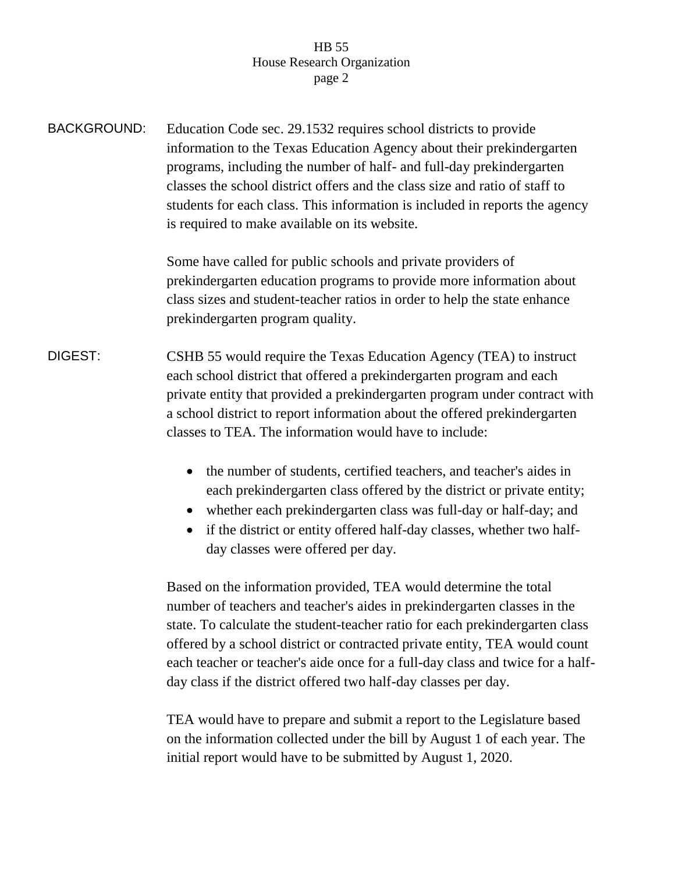## HB 55 House Research Organization page 2

BACKGROUND: Education Code sec. 29.1532 requires school districts to provide information to the Texas Education Agency about their prekindergarten programs, including the number of half- and full-day prekindergarten classes the school district offers and the class size and ratio of staff to students for each class. This information is included in reports the agency is required to make available on its website.

> Some have called for public schools and private providers of prekindergarten education programs to provide more information about class sizes and student-teacher ratios in order to help the state enhance prekindergarten program quality.

- DIGEST: CSHB 55 would require the Texas Education Agency (TEA) to instruct each school district that offered a prekindergarten program and each private entity that provided a prekindergarten program under contract with a school district to report information about the offered prekindergarten classes to TEA. The information would have to include:
	- the number of students, certified teachers, and teacher's aides in each prekindergarten class offered by the district or private entity;
	- whether each prekindergarten class was full-day or half-day; and
	- if the district or entity offered half-day classes, whether two halfday classes were offered per day.

Based on the information provided, TEA would determine the total number of teachers and teacher's aides in prekindergarten classes in the state. To calculate the student-teacher ratio for each prekindergarten class offered by a school district or contracted private entity, TEA would count each teacher or teacher's aide once for a full-day class and twice for a halfday class if the district offered two half-day classes per day.

TEA would have to prepare and submit a report to the Legislature based on the information collected under the bill by August 1 of each year. The initial report would have to be submitted by August 1, 2020.